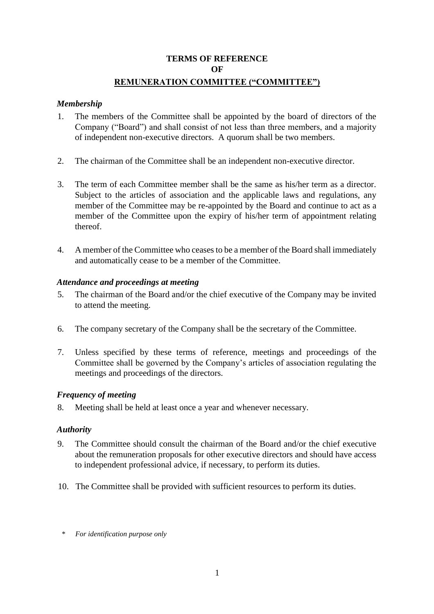# **TERMS OF REFERENCE OF REMUNERATION COMMITTEE ("COMMITTEE")**

### *Membership*

- 1. The members of the Committee shall be appointed by the board of directors of the Company ("Board") and shall consist of not less than three members, and a majority of independent non-executive directors. A quorum shall be two members.
- 2. The chairman of the Committee shall be an independent non-executive director.
- 3. The term of each Committee member shall be the same as his/her term as a director. Subject to the articles of association and the applicable laws and regulations, any member of the Committee may be re-appointed by the Board and continue to act as a member of the Committee upon the expiry of his/her term of appointment relating thereof.
- 4. A member of the Committee who ceases to be a member of the Board shall immediately and automatically cease to be a member of the Committee.

## *Attendance and proceedings at meeting*

- 5. The chairman of the Board and/or the chief executive of the Company may be invited to attend the meeting.
- 6. The company secretary of the Company shall be the secretary of the Committee.
- 7. Unless specified by these terms of reference, meetings and proceedings of the Committee shall be governed by the Company's articles of association regulating the meetings and proceedings of the directors.

#### *Frequency of meeting*

8. Meeting shall be held at least once a year and whenever necessary.

#### *Authority*

- 9. The Committee should consult the chairman of the Board and/or the chief executive about the remuneration proposals for other executive directors and should have access to independent professional advice, if necessary, to perform its duties.
- 10. The Committee shall be provided with sufficient resources to perform its duties.
- \* *For identification purpose only*